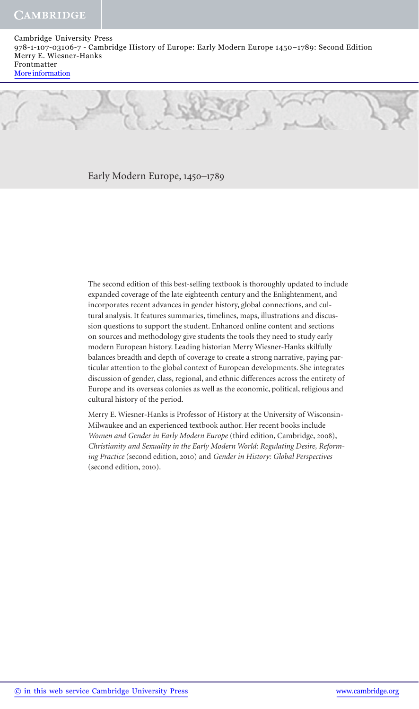#### Early Modern Europe, 1450–1789

 The second edition of this best-selling textbook is thoroughly updated to include expanded coverage of the late eighteenth century and the Enlightenment, and incorporates recent advances in gender history, global connections, and cultural analysis. It features summaries, timelines, maps, illustrations and discussion questions to support the student. Enhanced online content and sections on sources and methodology give students the tools they need to study early modern European history. Leading historian Merry Wiesner-Hanks skilfully balances breadth and depth of coverage to create a strong narrative, paying particular attention to the global context of European developments. She integrates discussion of gender, class, regional, and ethnic differences across the entirety of Europe and its overseas colonies as well as the economic, political, religious and cultural history of the period.

 Merry E. Wiesner-Hanks is Professor of History at the University of Wisconsin-Milwaukee and an experienced textbook author. Her recent books include *Women and Gender in Early Modern Europe* (third edition, Cambridge, 2008), *Christianity and Sexuality in the Early Modern World: Regulating Desire, Reforming Practice* (second edition, 2010) and *Gender in History: Global Perspectives* (second edition, 2010).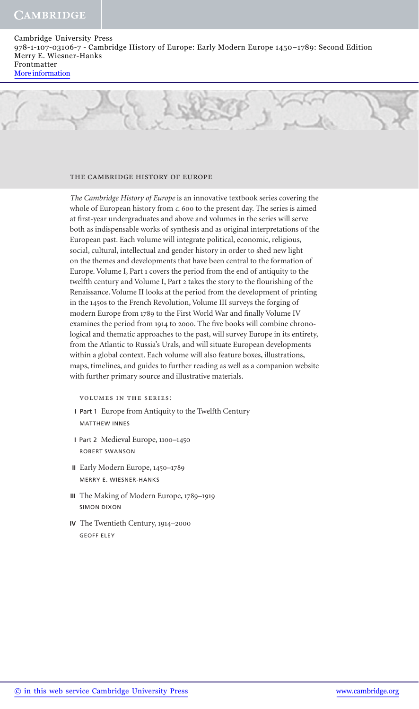#### the cambridge history of europe

*The Cambridge History of Europe* is an innovative textbook series covering the whole of European history from *c*. 600 to the present day. The series is aimed at first-year undergraduates and above and volumes in the series will serve both as indispensable works of synthesis and as original interpretations of the European past. Each volume will integrate political, economic, religious, social, cultural, intellectual and gender history in order to shed new light on the themes and developments that have been central to the formation of Europe. Volume I, Part 1 covers the period from the end of antiquity to the twelfth century and Volume I, Part 2 takes the story to the flourishing of the Renaissance. Volume II looks at the period from the development of printing in the 1450s to the French Revolution, Volume III surveys the forging of modern Europe from 1789 to the First World War and finally Volume IV examines the period from 1914 to 2000. The five books will combine chronological and thematic approaches to the past, will survey Europe in its entirety, from the Atlantic to Russia's Urals, and will situate European developments within a global context. Each volume will also feature boxes, illustrations, maps, timelines, and guides to further reading as well as a companion website with further primary source and illustrative materials.

volumes in the series:

- **I** Part 1 Europe from Antiquity to the Twelfth Century MATTHEW INNES
- **I** Part 2 Medieval Europe, 1100–1450 ROBERT SWANSON
- **II** Early Modern Europe, 1450–1789 MERRY E. WIESNER-HANKS
- **III** The Making of Modern Europe, 1789–1919 SIMON DIXON
- **IV** The Twentieth Century, 1914–2000 GEOFF ELEY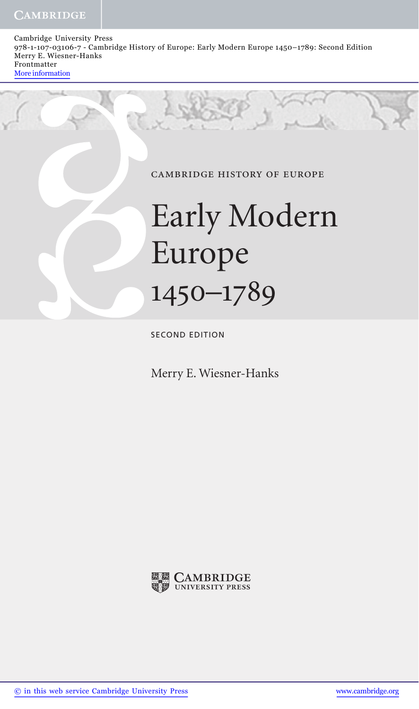#### cambridge history of europe

# Early Modern Europe 1450–1789

SECOND EDITION

Merry E. Wiesner-Hanks

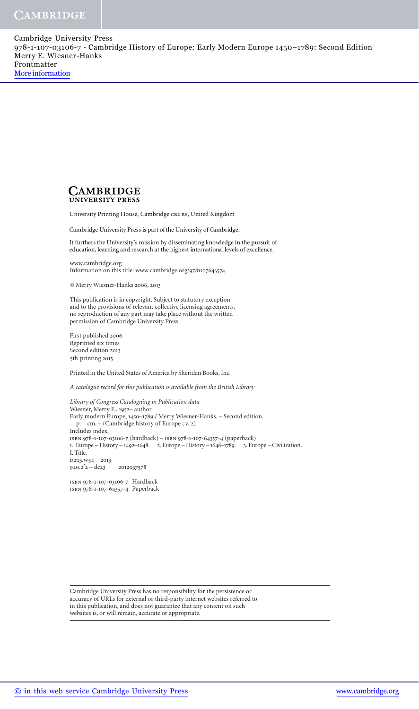

University Printing House, Cambridge CB2 BS, United Kingdom

Cambridge University Press is part of the University of Cambridge.

It furthers the University's mission by disseminating knowledge in the pursuit of education, learning and research at the highest international levels of excellence.

www.cambridge.org Information on this title: www.cambridge.org/9781107643574

© Merry Wiesner-Hanks 2006, 2013

 This publication is in copyright. Subject to statutory exception and to the provisions of relevant collective licensing agreements, no reproduction of any part may take place without the written permission of Cambridge University Press.

 First published 2006 Reprinted six times Second edition 2013 5th printing 2015

Printed in the United States of America by Sheridan Books, Inc.

*A catalogue record for this publication is available from the British Library* 

*Library of Congress Cataloguing in Publication data*  Wiesner, Merry E., 1952– author. Early modern Europe, 1450–1789 / Merry Wiesner-Hanks. – Second edition. p. cm. – (Cambridge history of Europe ; v. 2) Includes index. isbn 978-1-107-03106-7 (hardback) – isbn 978-1-107-64357-4 (paperback) 1. Europe – History – 1492–1648. 2. Europe – History – 1648–1789. 3. Europe – Civilization. I. Title. D203.W54 2013 940.2′2 – dc23 2012037578

isbn 978-1-107-03106-7 Hardback isbn 978-1-107-64357-4 Paperback

 Cambridge University Press has no responsibility for the persistence or accuracy of URLs for external or third-party internet websites referred to in this publication, and does not guarantee that any content on such websites is, or will remain, accurate or appropriate.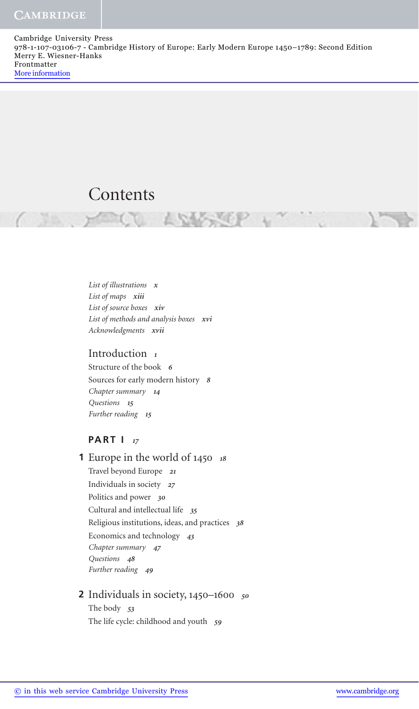## Contents

 *List of illustrations x List of maps xiii List of source boxes xiv List of methods and analysis boxes xvi Acknowledgments xvii* 

#### Introduction *1*

 Structure of the book *6* Sources for early modern history *8 Chapter summary 14 Questions 15 Further reading 15*

#### **PART I** *17*

 Europe in the world of 1450 *<sup>18</sup>* **1** Travel beyond Europe *21* Individuals in society *27* Politics and power *30* Cultural and intellectual life *35* Religious institutions, ideas, and practices *38* Economics and technology *43 Chapter summary 47 Questions 48 Further reading 49*

#### Individuals in society, 1450–1600 *<sup>50</sup>* **2** The body *53* The life cycle: childhood and youth *59*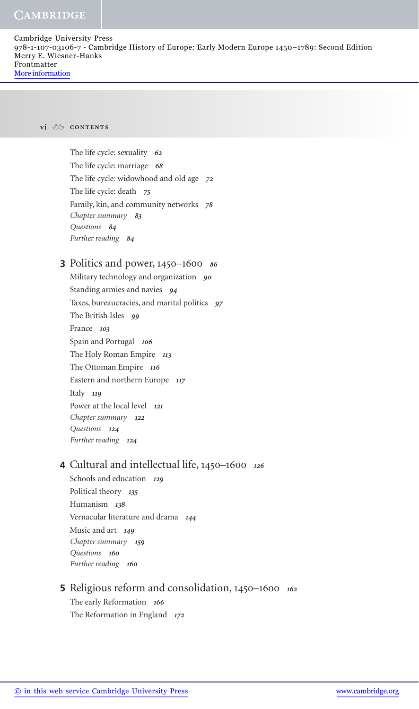Cambridge University Press 978-1-107-03106-7 - Cambridge History of Europe: Early Modern Europe 1450–1789: Second Edition Merry E. Wiesner-Hanks Frontmatter More information

#### **vi contents**

 The life cycle: sexuality *62* The life cycle: marriage *68* The life cycle: widowhood and old age *72* The life cycle: death *75* Family, kin, and community networks *78 Chapter summary 83 Questions 84 Further reading 84*

## Politics and power, 1450–1600 *<sup>86</sup>* **3**

 Military technology and organization *90* Standing armies and navies *94* Taxes, bureaucracies, and marital politics *97* The British Isles *99* France *103* Spain and Portugal *106* The Holy Roman Empire *113* The Ottoman Empire *116* Eastern and northern Europe *117* Italy *119* Power at the local level *121 Chapter summary 122 Questions 124*

*Further reading 124*

## Cultural and intellectual life, 1450–1600 *<sup>126</sup>* **4**

 Schools and education *129* Political theory *135* Humanism *138* Vernacular literature and drama *144* Music and art *149 Chapter summary 159 Questions 160 Further reading 160*

#### Religious reform and consolidation, 1450–1600 *<sup>162</sup>* **5** The early Reformation *166*

The Reformation in England *172*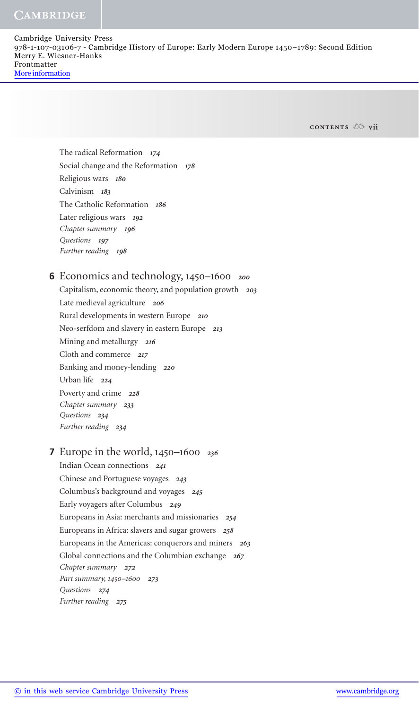Cambridge University Press 978-1-107-03106-7 - Cambridge History of Europe: Early Modern Europe 1450–1789: Second Edition Merry E. Wiesner-Hanks Frontmatter More information

**contents vii**

 The radical Reformation *174* Social change and the Reformation *178* Religious wars *180* Calvinism *183* The Catholic Reformation *186* Later religious wars *192 Chapter summary 196 Questions 197 Further reading 198*

### Economics and technology, 1450–1600 *<sup>200</sup>* **6**

 Capitalism, economic theory, and population growth *203* Late medieval agriculture *206* Rural developments in western Europe *210* Neo-serfdom and slavery in eastern Europe *213* Mining and metallurgy *216* Cloth and commerce *217* Banking and money-lending *220* Urban life *224* Poverty and crime *228 Chapter summary 233 Questions 234 Further reading 234*

#### Europe in the world, 1450–1600 *<sup>236</sup>* **7**

 Indian Ocean connections *241* Chinese and Portuguese voyages *243* Columbus's background and voyages *245* Early voyagers after Columbus *249* Europeans in Asia: merchants and missionaries *254* Europeans in Africa: slavers and sugar growers *258* Europeans in the Americas: conquerors and miners *263* Global connections and the Columbian exchange *267 Chapter summary 272 Part summary,* 1450–1600 *273 Questions 274 Further reading 275*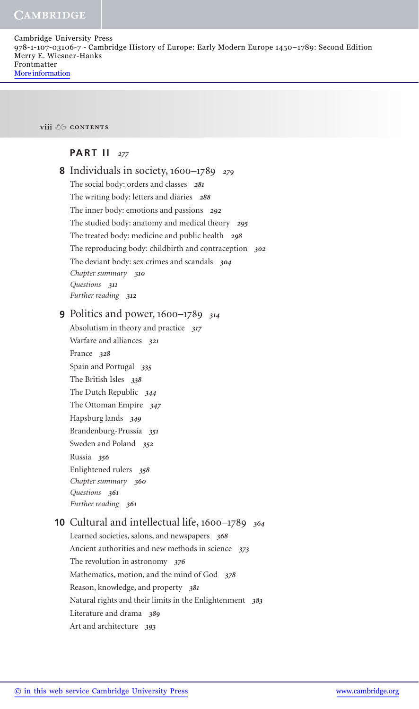Cambridge University Press 978-1-107-03106-7 - Cambridge History of Europe: Early Modern Europe 1450–1789: Second Edition Merry E. Wiesner-Hanks Frontmatter More information

**viii contents**

#### **PART II** *277*

| <b>8</b> Individuals in society, $1600-1789$ 279           |
|------------------------------------------------------------|
| The social body: orders and classes 281                    |
| The writing body: letters and diaries 288                  |
| The inner body: emotions and passions 292                  |
| The studied body: anatomy and medical theory 295           |
| The treated body: medicine and public health 298           |
| The reproducing body: childbirth and contraception 302     |
| The deviant body: sex crimes and scandals 304              |
| Chapter summary 310                                        |
| Questions 311                                              |
| Further reading 312                                        |
| <b>9</b> Politics and power, $1600-1789$ 314               |
| Absolutism in theory and practice 317                      |
| Warfare and alliances 321                                  |
| France 328                                                 |
| Spain and Portugal 335                                     |
| The British Isles 338                                      |
| The Dutch Republic 344                                     |
| The Ottoman Empire 347                                     |
| Hapsburg lands 349                                         |
| Brandenburg-Prussia 351                                    |
| Sweden and Poland 352                                      |
| Russia 356                                                 |
| Enlightened rulers 358                                     |
| Chapter summary 360                                        |
| Questions 361                                              |
| Further reading 361                                        |
| <b>10</b> Cultural and intellectual life, 1600–1789<br>364 |
| Learned societies, salons, and newspapers 368              |
| Ancient authorities and new methods in science 373         |
| The revolution in astronomy $376$                          |
| Mathematics, motion, and the mind of God 378               |
| Reason, knowledge, and property 381                        |
| Natural rights and their limits in the Enlightenment 383   |
| Literature and drama 389                                   |
| Art and architecture<br>393                                |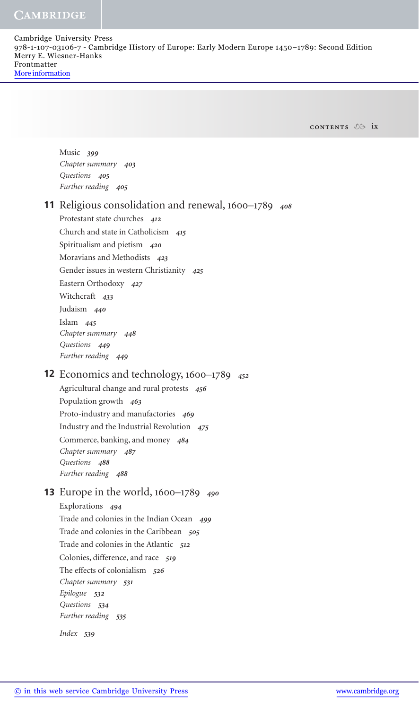Cambridge University Press 978-1-107-03106-7 - Cambridge History of Europe: Early Modern Europe 1450–1789: Second Edition Merry E. Wiesner-Hanks Frontmatter More information

**contents ix**

 Music *399 Chapter summary 403 Questions 405 Further reading 405*

#### Religious consolidation and renewal, 1600–1789 *<sup>408</sup>* **11**

 Protestant state churches *412* Church and state in Catholicism *415* Spiritualism and pietism *420* Moravians and Methodists *423* Gender issues in western Christianity *425* Eastern Orthodoxy *427* Witchcraft *433* Judaism *440* Islam *445 Chapter summary 448 Questions 449 Further reading 449*

#### Economics and technology, 1600–1789 *<sup>452</sup>* **12**

 Agricultural change and rural protests *456* Population growth *463* Proto-industry and manufactories *469* Industry and the Industrial Revolution *475* Commerce, banking, and money *484 Chapter summary 487 Questions 488 Further reading 488*

### Europe in the world, 1600–1789 *<sup>490</sup>* **13**

 Explorations *494* Trade and colonies in the Indian Ocean *499* Trade and colonies in the Caribbean *505* Trade and colonies in the Atlantic *512* Colonies, difference, and race *519* The effects of colonialism *526 Chapter summary 531 Epilogue 532 Questions 534 Further reading 535*

 *Index 539*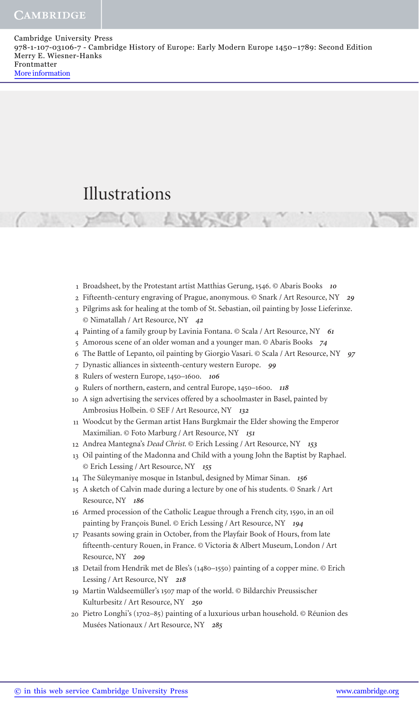# Illustrations

- 1 Broadsheet, by the Protestant artist Matthias Gerung, 1546. © Abaris Books 10
- Fifteenth-century engraving of Prague, anonymous. © Snark / Art Resource, NY *29* 2
- 3 Pilgrims ask for healing at the tomb of St. Sebastian, oil painting by Josse Lieferinxe. © Nimatallah / Art Resource, NY *42*
- Painting of a family group by Lavinia Fontana. © Scala / Art Resource, NY *61* 4
- Amorous scene of an older woman and a younger man. © Abaris Books *74* 5
- The Battle of Lepanto, oil painting by Giorgio Vasari. © Scala / Art Resource, NY *97* 6
- Dynastic alliances in sixteenth-century western Europe. *99* 7
- Rulers of western Europe, 1450–1600. *106* 8
- Rulers of northern, eastern, and central Europe, 1450–1600. *118* 9
- A sign advertising the services offered by a schoolmaster in Basel, painted by 10 Ambrosius Holbein. © SEF / Art Resource, NY *132*
- 11 Woodcut by the German artist Hans Burgkmair the Elder showing the Emperor Maximilian. © Foto Marburg / Art Resource, NY *151*
- Andrea Mantegna's *Dead Christ* . © Erich Lessing / Art Resource, NY *153* 12
- Oil painting of the Madonna and Child with a young John the Baptist by Raphael. 13 © Erich Lessing / Art Resource, NY *155*
- The Süleymaniye mosque in Istanbul, designed by Mimar Sinan. *156* 14
- 15 A sketch of Calvin made during a lecture by one of his students. @ Snark / Art Resource, NY *186*
- 16 Armed procession of the Catholic League through a French city, 1590, in an oil painting by François Bunel. © Erich Lessing / Art Resource, NY *194*
- 17 Peasants sowing grain in October, from the Playfair Book of Hours, from late fifteenth-century Rouen, in France. © Victoria & Albert Museum, London / Art Resource, NY *209*
- Detail from Hendrik met de Bles's (1480–1550) painting of a copper mine. © Erich 18 Lessing / Art Resource, NY *218*
- Martin Waldseemüller's 1507 map of the world. © Bildarchiv Preussischer 19 Kulturbesitz / Art Resource, NY *250*
- Pietro Longhi's (1702–85) painting of a luxurious urban household. © Réunion des 20 Musées Nationaux / Art Resource, NY *285*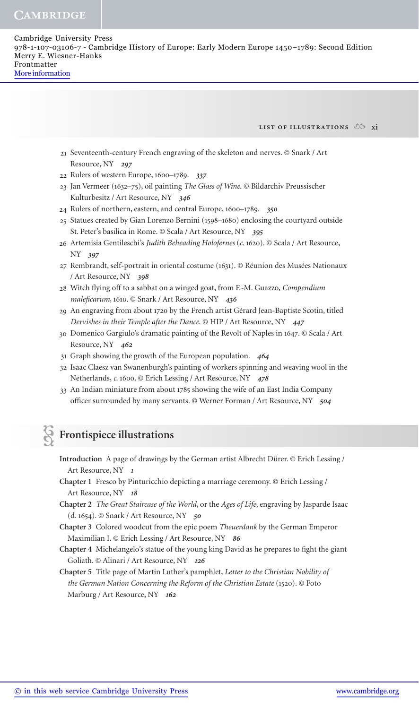**list of illustrations xi**

- 21 Seventeenth-century French engraving of the skeleton and nerves. © Snark / Art Resource, NY *297*
- Rulers of western Europe, 1600–1789. *337* 22
- 23 Jan Vermeer (1632-75), oil painting The Glass of Wine. © Bildarchiv Preussischer Kulturbesitz / Art Resource, NY *346*
- Rulers of northern, eastern, and central Europe, 1600–1789. *350* 24
- 25 Statues created by Gian Lorenzo Bernini (1598-1680) enclosing the courtyard outside St. Peter's basilica in Rome. © Scala / Art Resource, NY *395*
- 26 Artemisia Gentileschi's Judith Beheading Holofernes (c. 1620). © Scala / Art Resource, NY *397*
- 27 Rembrandt, self-portrait in oriental costume (1631). © Réunion des Musées Nationaux / Art Resource, NY *398*
- 28 Witch flying off to a sabbat on a winged goat, from F.-M. Guazzo, *Compendium maleficarum*, 1610. © Snark / Art Resource, NY 436
- An engraving from about 1720 by the French artist Gérard Jean-Baptiste Scotin, titled 29 *Dervishes in their Temple after the Dance* . © HIP / Art Resource, NY *447*
- Domenico Gargiulo's dramatic painting of the Revolt of Naples in 1647. © Scala / Art 30 Resource, NY *462*
- Graph showing the growth of the European population. *464* 31
- 32 Isaac Claesz van Swanenburgh's painting of workers spinning and weaving wool in the Netherlands, *c* . 1600. © Erich Lessing / Art Resource, NY *478*
- 33 An Indian miniature from about 1785 showing the wife of an East India Company officer surrounded by many servants. © Werner Forman / Art Resource, NY 504

## **Frontispiece illustrations**

**Introduction** A page of drawings by the German artist Albrecht Dürer. © Erich Lessing / Art Resource, NY *1*

**Chapter 1** Fresco by Pinturicchio depicting a marriage ceremony. © Erich Lessing / Art Resource, NY *18*

- **Chapter 2** *The Great Staircase of the World* , or the *Ages of Life* , engraving by Jasparde Isaac (d. 1654). © Snark / Art Resource, NY *50*
- **Chapter 3** Colored woodcut from the epic poem *Theuerdank* by the German Emperor Maximilian I. © Erich Lessing / Art Resource, NY *86*
- **Chapter 4** Michelangelo's statue of the young king David as he prepares to fight the giant Goliath. © Alinari / Art Resource, NY *126*

**Chapter 5** Title page of Martin Luther's pamphlet, *Letter to the Christian Nobility of the German Nation Concerning the Reform of the Christian Estate* (1520). © Foto Marburg / Art Resource, NY *162*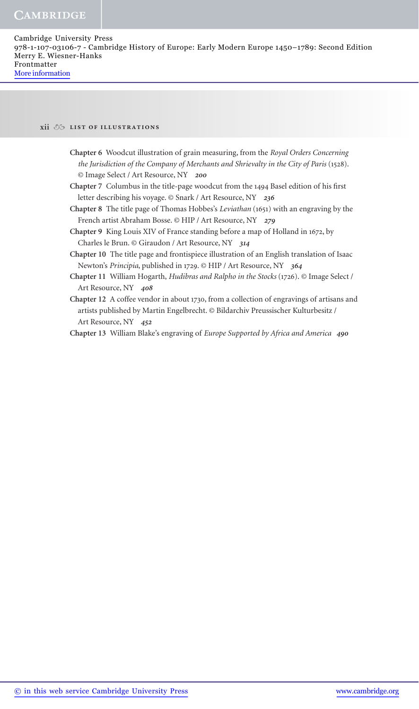#### **xii list of illustrations**

- **Chapter 6** Woodcut illustration of grain measuring, from the *Royal Orders Concerning the Jurisdiction of the Company of Merchants and Shrievalty in the City of Paris* (1528). © Image Select / Art Resource, NY *200*
- Chapter 7 Columbus in the title-page woodcut from the 1494 Basel edition of his first letter describing his voyage. © Snark / Art Resource, NY *236*
- **Chapter 8** The title page of Thomas Hobbes's *Leviathan* (1651) with an engraving by the French artist Abraham Bosse. © HIP / Art Resource, NY *279*
- **Chapter 9** King Louis XIV of France standing before a map of Holland in 1672, by Charles le Brun. © Giraudon / Art Resource, NY *314*
- **Chapter 10** The title page and frontispiece illustration of an English translation of Isaac Newton's *Principia* , published in 1729. © HIP / Art Resource, NY *364*
- **Chapter 11** William Hogarth, *Hudibras and Ralpho in the Stocks* (1726). © Image Select / Art Resource, NY *408*
- **Chapter 12** A coffee vendor in about 1730, from a collection of engravings of artisans and artists published by Martin Engelbrecht. © Bildarchiv Preussischer Kulturbesitz / Art Resource, NY *452*

 **Chapter 13** William Blake's engraving of *Europe Supported by Africa and America 490*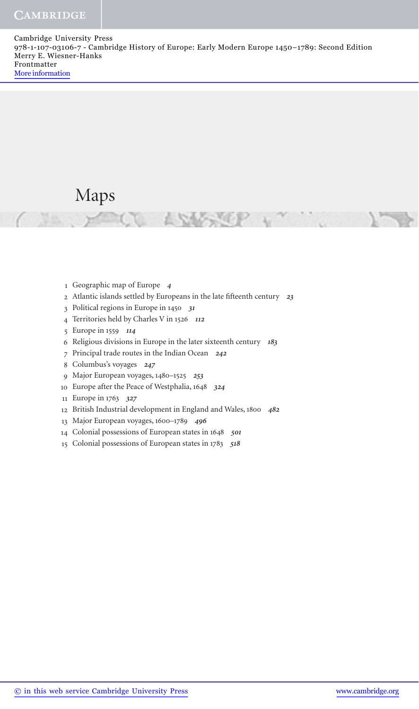## Maps

- Geographic map of Europe *4*
- 2 Atlantic islands settled by Europeans in the late fifteenth century 23
- Political regions in Europe in 1450 *31*
- Territories held by Charles V in 1526 *112*
- Europe in 1559 *114*
- Religious divisions in Europe in the later sixteenth century *183*
- Principal trade routes in the Indian Ocean *242*
- Columbus's voyages *247*
- Major European voyages, 1480–1525 *253*
- Europe after the Peace of Westphalia, 1648 *324*
- Europe in 1763 *327*
- British Industrial development in England and Wales, 1800 *482*
- Major European voyages, 1600–1789 *496*
- Colonial possessions of European states in 1648 *501*
- Colonial possessions of European states in 1783 *518*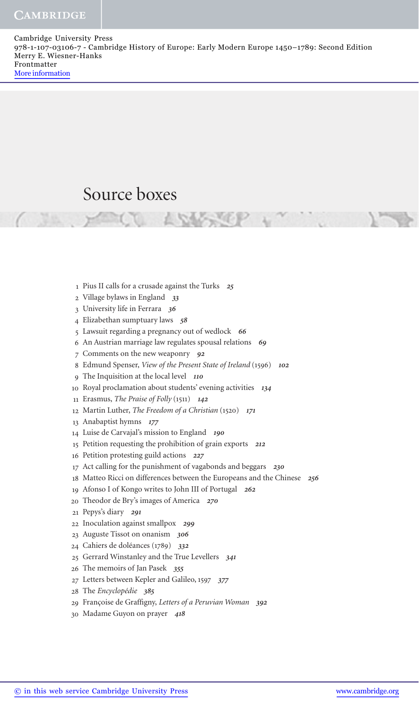## Source boxes

- Pius II calls for a crusade against the Turks *25*
- Village bylaws in England *33*
- University life in Ferrara *36*
- Elizabethan sumptuary laws *58*
- Lawsuit regarding a pregnancy out of wedlock *66*
- An Austrian marriage law regulates spousal relations *69*
- Comments on the new weaponry *92*
- Edmund Spenser, *View of the Present State of Ireland* (1596) *102*
- The Inquisition at the local level *110*
- Royal proclamation about students' evening activities *134*
- 11 Erasmus, *The Praise of Folly* (1511) 142
- Martin Luther, *The Freedom of a Christian* (1520) *171*
- Anabaptist hymns *177*
- Luise de Carvajal's mission to England *190*
- Petition requesting the prohibition of grain exports *212*
- Petition protesting guild actions *227*
- Act calling for the punishment of vagabonds and beggars *230*
- Matteo Ricci on differences between the Europeans and the Chinese *256*
- Afonso I of Kongo writes to John III of Portugal *262*
- 20 Theodor de Bry's images of America 270
- Pepys's diary *291*
- Inoculation against smallpox *299*
- Auguste Tissot on onanism *306*
- Cahiers de doléances (1789) *332*
- Gerrard Winstanley and the True Levellers *341*
- The memoirs of Jan Pasek *355*
- Letters between Kepler and Galileo, 1597 *377*
- The *Encyclopédie 385*
- 29 Françoise de Graffigny, Letters of a Peruvian Woman 392
- Madame Guyon on prayer *418*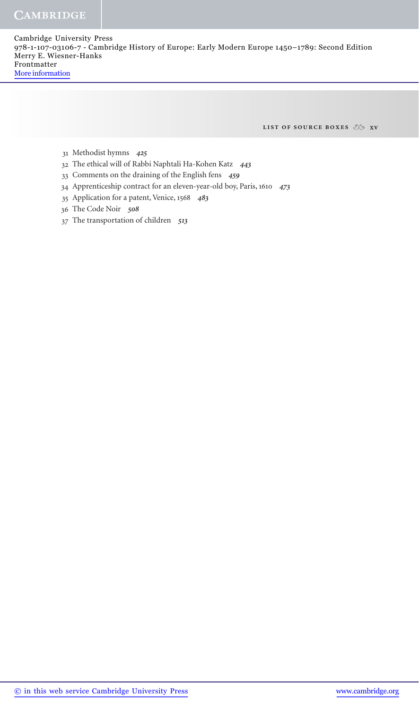**list of source boxes xv**

- Methodist hymns *425* 31
- The ethical will of Rabbi Naphtali Ha-Kohen Katz *443* 32
- Comments on the draining of the English fens *459* 33
- Apprenticeship contract for an eleven-year-old boy, Paris, 1610 *473* 34
- Application for a patent, Venice, 1568 *483* 35
- The Code Noir *508* 36
- The transportation of children *513* 37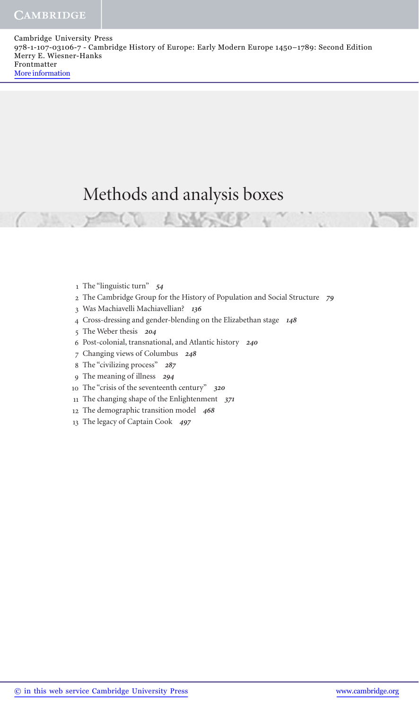# Methods and analysis boxes

- 1 The "linguistic turn" 54
- The Cambridge Group for the History of Population and Social Structure *79* 2
- Was Machiavelli Machiavellian? *136* 3
- Cross-dressing and gender-blending on the Elizabethan stage *148* 4
- The Weber thesis *204* 5
- Post-colonial, transnational, and Atlantic history *240* 6
- Changing views of Columbus *248* 7
- The "civilizing process" *287* 8
- The meaning of illness *294* 9
- The "crisis of the seventeenth century" *320* 10
- The changing shape of the Enlightenment *371* 11
- 12 The demographic transition model 468
- The legacy of Captain Cook *497*  13